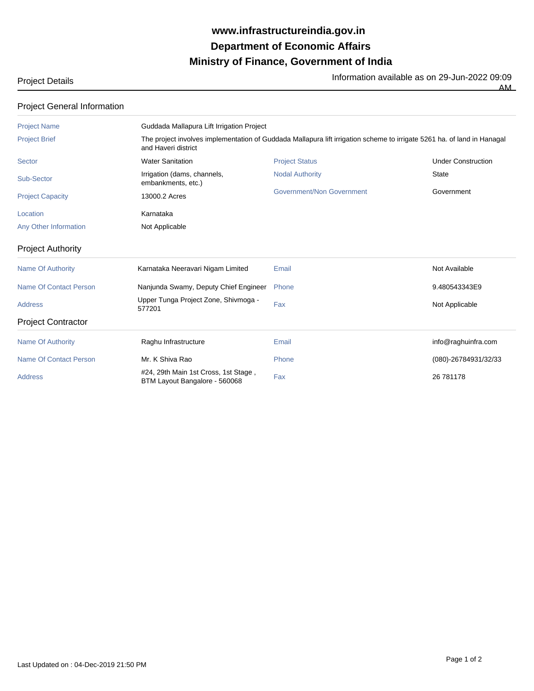## **Ministry of Finance, Government of India Department of Economic Affairs www.infrastructureindia.gov.in**

Project Details Information available as on 29-Jun-2022 09:09

| Project Details |  |
|-----------------|--|
|-----------------|--|

AM

| <b>Project Name</b>           | Guddada Mallapura Lift Irrigation Project                                                                                                      |                           |                           |  |
|-------------------------------|------------------------------------------------------------------------------------------------------------------------------------------------|---------------------------|---------------------------|--|
| <b>Project Brief</b>          | The project involves implementation of Guddada Mallapura lift irrigation scheme to irrigate 5261 ha. of land in Hanagal<br>and Haveri district |                           |                           |  |
| Sector                        | <b>Water Sanitation</b>                                                                                                                        | <b>Project Status</b>     | <b>Under Construction</b> |  |
| Sub-Sector                    | Irrigation (dams, channels,<br>embankments, etc.)                                                                                              | <b>Nodal Authority</b>    | <b>State</b>              |  |
| <b>Project Capacity</b>       | 13000.2 Acres                                                                                                                                  | Government/Non Government | Government                |  |
| Location                      | Karnataka                                                                                                                                      |                           |                           |  |
| Any Other Information         | Not Applicable                                                                                                                                 |                           |                           |  |
| <b>Project Authority</b>      |                                                                                                                                                |                           |                           |  |
| <b>Name Of Authority</b>      | Karnataka Neeravari Nigam Limited                                                                                                              | Email                     | Not Available             |  |
| <b>Name Of Contact Person</b> | Nanjunda Swamy, Deputy Chief Engineer                                                                                                          | Phone                     | 9.480543343E9             |  |
| <b>Address</b>                | Upper Tunga Project Zone, Shivmoga -<br>577201                                                                                                 | Fax                       | Not Applicable            |  |
| <b>Project Contractor</b>     |                                                                                                                                                |                           |                           |  |
| <b>Name Of Authority</b>      | Raghu Infrastructure                                                                                                                           | Email                     | info@raghuinfra.com       |  |
| <b>Name Of Contact Person</b> | Mr. K Shiva Rao                                                                                                                                | Phone                     | (080)-26784931/32/33      |  |
| <b>Address</b>                | #24, 29th Main 1st Cross, 1st Stage,<br>BTM Layout Bangalore - 560068                                                                          | Fax                       | 26 781178                 |  |

## Project General Information